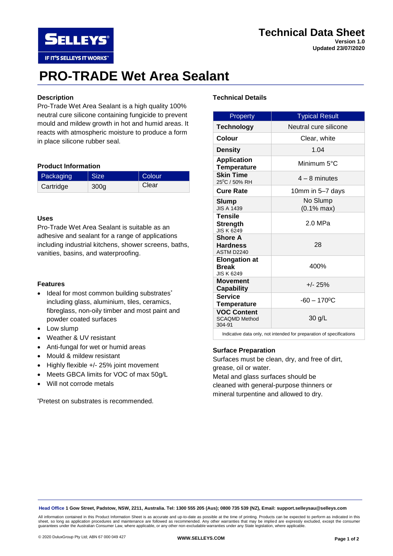# **Technical Data Sheet Version 1.0**

**Updated 23/07/2020**

# **PRO-TRADE Wet Area Sealant**

## **Description**

**SELLEYS** 

IF IT'S SELLEYS IT WORKS"

Pro-Trade Wet Area Sealant is a high quality 100% neutral cure silicone containing fungicide to prevent mould and mildew growth in hot and humid areas. It reacts with atmospheric moisture to produce a form in place silicone rubber seal.

#### **Product Information**

| Packaging | <b>Size</b>      | Colour |
|-----------|------------------|--------|
| Cartridge | 300 <sub>g</sub> | Clear  |

#### **Uses**

Pro-Trade Wet Area Sealant is suitable as an adhesive and sealant for a range of applications including industrial kitchens, shower screens, baths, vanities, basins, and waterproofing.

#### **Features**

- Ideal for most common building substrates\* including glass, aluminium, tiles, ceramics, fibreglass, non-oily timber and most paint and powder coated surfaces
- Low slump
- Weather & UV resistant
- Anti-fungal for wet or humid areas
- Mould & mildew resistant
- Highly flexible +/- 25% joint movement
- Meets GBCA limits for VOC of max 50g/L
- Will not corrode metals

\*Pretest on substrates is recommended.

## **Technical Details**

| <b>Property</b>                                                      | <b>Typical Result</b>      |  |
|----------------------------------------------------------------------|----------------------------|--|
| <b>Technology</b>                                                    | Neutral cure silicone      |  |
| Colour                                                               | Clear, white               |  |
| <b>Density</b>                                                       | 1.04                       |  |
| <b>Application</b><br><b>Temperature</b>                             | Minimum 5°C                |  |
| <b>Skin Time</b><br>25°C / 50% RH                                    | $4 - 8$ minutes            |  |
| <b>Cure Rate</b>                                                     | 10mm in 5-7 days           |  |
| <b>Slump</b><br><b>JIS A 1439</b>                                    | No Slump<br>$(0.1%$ max)   |  |
| <b>Tensile</b><br><b>Strength</b><br><b>JIS K 6249</b>               | $2.0$ MPa                  |  |
| <b>Shore A</b><br><b>Hardness</b><br>ASTM D2240                      | 28                         |  |
| <b>Elongation at</b><br><b>Break</b><br><b>JIS K 6249</b>            | 400%                       |  |
| <b>Movement</b><br><b>Capability</b>                                 | $+/- 25%$                  |  |
| <b>Service</b><br><b>Temperature</b>                                 | $-60 - 170$ <sup>o</sup> C |  |
| <b>VOC Content</b><br><b>SCAOMD Method</b><br>304-91                 | 30 g/L                     |  |
| Indicative data only, not intended for preparation of specifications |                            |  |

#### **Surface Preparation**

Surfaces must be clean, dry, and free of dirt,

grease, oil or water. Metal and glass surfaces should be cleaned with general-purpose thinners or mineral turpentine and allowed to dry.

**Head Office 1 Gow Street, Padstow, NSW, 2211, Australia. Tel: 1300 555 205 (Aus); 0800 735 539 (NZ), Email: support.selleysau@selleys.com**

All information contained in this Product Information Sheet is as accurate and up-to-date as possible at the time of printing. Products can be expected to perform as indicated in this<br>sheet, so long as application procedur